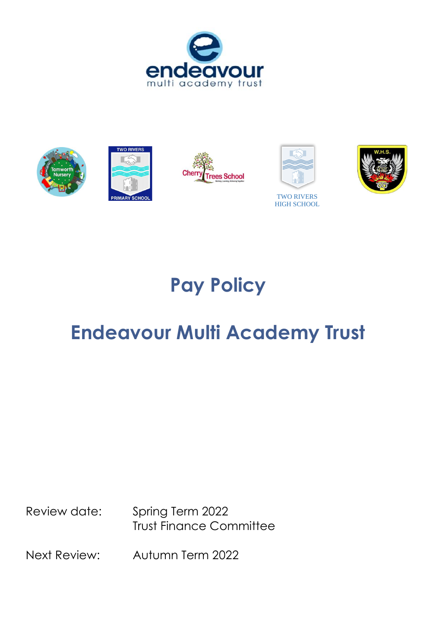









# **Pay Policy**

# **Endeavour Multi Academy Trust**

Review date: Spring Term 2022 Trust Finance Committee

Next Review: Autumn Term 2022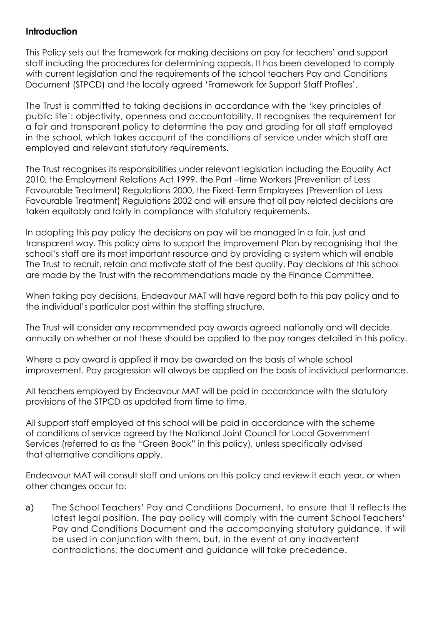#### **Introduction**

This Policy sets out the framework for making decisions on pay for teachers' and support staff including the procedures for determining appeals. It has been developed to comply with current legislation and the requirements of the school teachers Pay and Conditions Document (STPCD) and the locally agreed 'Framework for Support Staff Profiles'.

The Trust is committed to taking decisions in accordance with the 'key principles of public life': objectivity, openness and accountability. It recognises the requirement for a fair and transparent policy to determine the pay and grading for all staff employed in the school, which takes account of the conditions of service under which staff are employed and relevant statutory requirements.

The Trust recognises its responsibilities under relevant legislation including the Equality Act 2010, the Employment Relations Act 1999, the Part –time Workers (Prevention of Less Favourable Treatment) Regulations 2000, the Fixed-Term Employees (Prevention of Less Favourable Treatment) Regulations 2002 and will ensure that all pay related decisions are taken equitably and fairly in compliance with statutory requirements.

In adopting this pay policy the decisions on pay will be managed in a fair, just and transparent way. This policy aims to support the Improvement Plan by recognising that the school's staff are its most important resource and by providing a system which will enable The Trust to recruit, retain and motivate staff of the best quality. Pay decisions at this school are made by the Trust with the recommendations made by the Finance Committee.

When taking pay decisions, Endeavour MAT will have regard both to this pay policy and to the individual's particular post within the staffing structure.

The Trust will consider any recommended pay awards agreed nationally and will decide annually on whether or not these should be applied to the pay ranges detailed in this policy.

Where a pay award is applied it may be awarded on the basis of whole school improvement. Pay progression will always be applied on the basis of individual performance.

All teachers employed by Endeavour MAT will be paid in accordance with the statutory provisions of the STPCD as updated from time to time.

All support staff employed at this school will be paid in accordance with the scheme of conditions of service agreed by the National Joint Council for Local Government Services (referred to as the "Green Book" in this policy), unless specifically advised that alternative conditions apply.

Endeavour MAT will consult staff and unions on this policy and review it each year, or when other changes occur to:

a) The School Teachers' Pay and Conditions Document, to ensure that it reflects the latest legal position. The pay policy will comply with the current School Teachers' Pay and Conditions Document and the accompanying statutory guidance. It will be used in conjunction with them, but, in the event of any inadvertent contradictions, the document and guidance will take precedence.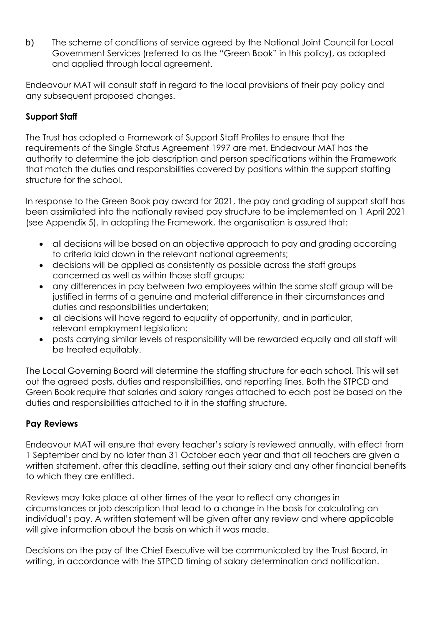b) The scheme of conditions of service agreed by the National Joint Council for Local Government Services (referred to as the "Green Book" in this policy), as adopted and applied through local agreement.

Endeavour MAT will consult staff in regard to the local provisions of their pay policy and any subsequent proposed changes.

# **Support Staff**

The Trust has adopted a Framework of Support Staff Profiles to ensure that the requirements of the Single Status Agreement 1997 are met. Endeavour MAT has the authority to determine the job description and person specifications within the Framework that match the duties and responsibilities covered by positions within the support staffing structure for the school.

In response to the Green Book pay award for 2021, the pay and grading of support staff has been assimilated into the nationally revised pay structure to be implemented on 1 April 2021 (see Appendix 5). In adopting the Framework, the organisation is assured that:

- all decisions will be based on an objective approach to pay and grading according to criteria laid down in the relevant national agreements;
- decisions will be applied as consistently as possible across the staff groups concerned as well as within those staff groups;
- any differences in pay between two employees within the same staff group will be justified in terms of a genuine and material difference in their circumstances and duties and responsibilities undertaken;
- all decisions will have regard to equality of opportunity, and in particular, relevant employment legislation;
- posts carrying similar levels of responsibility will be rewarded equally and all staff will be treated equitably.

The Local Governing Board will determine the staffing structure for each school. This will set out the agreed posts, duties and responsibilities, and reporting lines. Both the STPCD and Green Book require that salaries and salary ranges attached to each post be based on the duties and responsibilities attached to it in the staffing structure.

#### **Pay Reviews**

Endeavour MAT will ensure that every teacher's salary is reviewed annually, with effect from 1 September and by no later than 31 October each year and that all teachers are given a written statement, after this deadline, setting out their salary and any other financial benefits to which they are entitled.

Reviews may take place at other times of the year to reflect any changes in circumstances or job description that lead to a change in the basis for calculating an individual's pay. A written statement will be given after any review and where applicable will give information about the basis on which it was made.

Decisions on the pay of the Chief Executive will be communicated by the Trust Board, in writing, in accordance with the STPCD timing of salary determination and notification.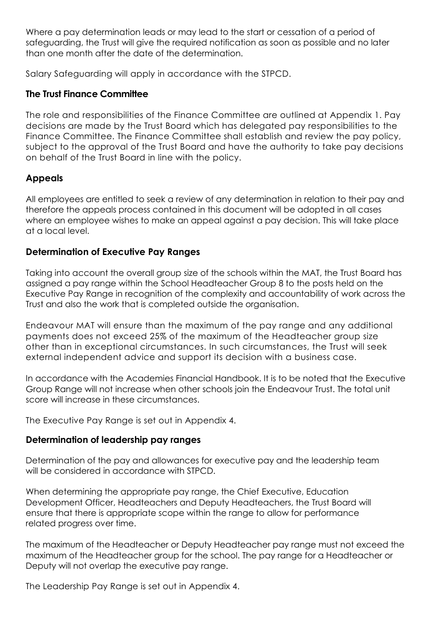Where a pay determination leads or may lead to the start or cessation of a period of safeguarding, the Trust will give the required notification as soon as possible and no later than one month after the date of the determination.

Salary Safeguarding will apply in accordance with the STPCD.

## **The Trust Finance Committee**

The role and responsibilities of the Finance Committee are outlined at Appendix 1. Pay decisions are made by the Trust Board which has delegated pay responsibilities to the Finance Committee. The Finance Committee shall establish and review the pay policy, subject to the approval of the Trust Board and have the authority to take pay decisions on behalf of the Trust Board in line with the policy.

# **Appeals**

All employees are entitled to seek a review of any determination in relation to their pay and therefore the appeals process contained in this document will be adopted in all cases where an employee wishes to make an appeal against a pay decision. This will take place at a local level.

# **Determination of Executive Pay Ranges**

Taking into account the overall group size of the schools within the MAT, the Trust Board has assigned a pay range within the School Headteacher Group 8 to the posts held on the Executive Pay Range in recognition of the complexity and accountability of work across the Trust and also the work that is completed outside the organisation.

Endeavour MAT will ensure than the maximum of the pay range and any additional payments does not exceed 25% of the maximum of the Headteacher group size other than in exceptional circumstances. In such circumstances, the Trust will seek external independent advice and support its decision with a business case.

In accordance with the Academies Financial Handbook. It is to be noted that the Executive Group Range will not increase when other schools join the Endeavour Trust. The total unit score will increase in these circumstances.

The Executive Pay Range is set out in Appendix 4.

# **Determination of leadership pay ranges**

Determination of the pay and allowances for executive pay and the leadership team will be considered in accordance with STPCD.

When determining the appropriate pay range, the Chief Executive, Education Development Officer, Headteachers and Deputy Headteachers, the Trust Board will ensure that there is appropriate scope within the range to allow for performance related progress over time.

The maximum of the Headteacher or Deputy Headteacher pay range must not exceed the maximum of the Headteacher group for the school. The pay range for a Headteacher or Deputy will not overlap the executive pay range.

The Leadership Pay Range is set out in Appendix 4.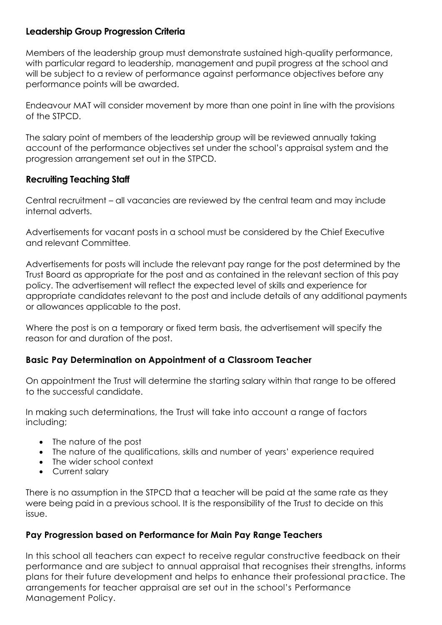## **Leadership Group Progression Criteria**

Members of the leadership group must demonstrate sustained high-quality performance, with particular regard to leadership, management and pupil progress at the school and will be subject to a review of performance against performance objectives before any performance points will be awarded.

Endeavour MAT will consider movement by more than one point in line with the provisions of the STPCD.

The salary point of members of the leadership group will be reviewed annually taking account of the performance objectives set under the school's appraisal system and the progression arrangement set out in the STPCD.

# **Recruiting Teaching Staff**

Central recruitment – all vacancies are reviewed by the central team and may include internal adverts.

Advertisements for vacant posts in a school must be considered by the Chief Executive and relevant Committee.

Advertisements for posts will include the relevant pay range for the post determined by the Trust Board as appropriate for the post and as contained in the relevant section of this pay policy. The advertisement will reflect the expected level of skills and experience for appropriate candidates relevant to the post and include details of any additional payments or allowances applicable to the post.

Where the post is on a temporary or fixed term basis, the advertisement will specify the reason for and duration of the post.

# **Basic Pay Determination on Appointment of a Classroom Teacher**

On appointment the Trust will determine the starting salary within that range to be offered to the successful candidate.

In making such determinations, the Trust will take into account a range of factors including;

- The nature of the post
- The nature of the qualifications, skills and number of years' experience required
- The wider school context
- Current salary

There is no assumption in the STPCD that a teacher will be paid at the same rate as they were being paid in a previous school. It is the responsibility of the Trust to decide on this issue.

#### **Pay Progression based on Performance for Main Pay Range Teachers**

In this school all teachers can expect to receive regular constructive feedback on their performance and are subject to annual appraisal that recognises their strengths, informs plans for their future development and helps to enhance their professional practice. The arrangements for teacher appraisal are set out in the school's Performance Management Policy.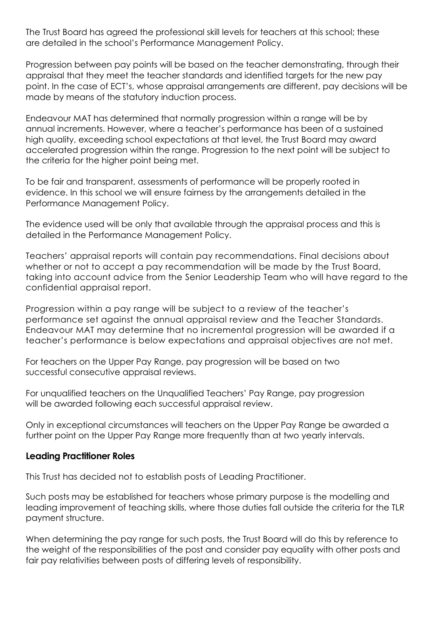The Trust Board has agreed the professional skill levels for teachers at this school; these are detailed in the school's Performance Management Policy.

Progression between pay points will be based on the teacher demonstrating, through their appraisal that they meet the teacher standards and identified targets for the new pay point. In the case of ECT's, whose appraisal arrangements are different, pay decisions will be made by means of the statutory induction process.

Endeavour MAT has determined that normally progression within a range will be by annual increments. However, where a teacher's performance has been of a sustained high quality, exceeding school expectations at that level, the Trust Board may award accelerated progression within the range. Progression to the next point will be subject to the criteria for the higher point being met.

To be fair and transparent, assessments of performance will be properly rooted in evidence. In this school we will ensure fairness by the arrangements detailed in the Performance Management Policy.

The evidence used will be only that available through the appraisal process and this is detailed in the Performance Management Policy.

Teachers' appraisal reports will contain pay recommendations. Final decisions about whether or not to accept a pay recommendation will be made by the Trust Board, taking into account advice from the Senior Leadership Team who will have regard to the confidential appraisal report.

Progression within a pay range will be subject to a review of the teacher's performance set against the annual appraisal review and the Teacher Standards. Endeavour MAT may determine that no incremental progression will be awarded if a teacher's performance is below expectations and appraisal objectives are not met.

For teachers on the Upper Pay Range, pay progression will be based on two successful consecutive appraisal reviews.

For unqualified teachers on the Unqualified Teachers' Pay Range, pay progression will be awarded following each successful appraisal review.

Only in exceptional circumstances will teachers on the Upper Pay Range be awarded a further point on the Upper Pay Range more frequently than at two yearly intervals.

#### **Leading Practitioner Roles**

This Trust has decided not to establish posts of Leading Practitioner.

Such posts may be established for teachers whose primary purpose is the modelling and leading improvement of teaching skills, where those duties fall outside the criteria for the TLR payment structure.

When determining the pay range for such posts, the Trust Board will do this by reference to the weight of the responsibilities of the post and consider pay equality with other posts and fair pay relativities between posts of differing levels of responsibility.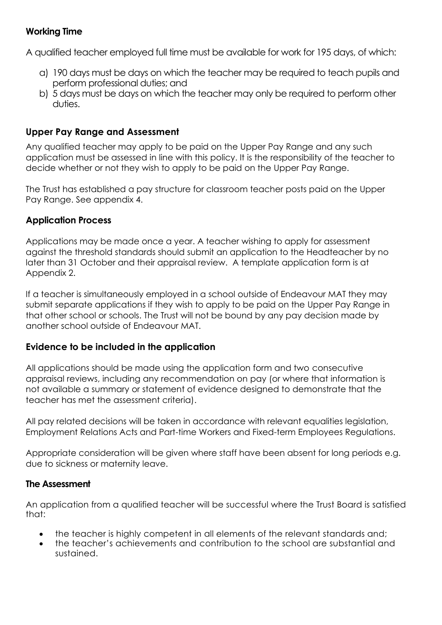# **Working Time**

A qualified teacher employed full time must be available for work for 195 days, of which:

- a) 190 days must be days on which the teacher may be required to teach pupils and perform professional duties; and
- b) 5 days must be days on which the teacher may only be required to perform other duties.

# **Upper Pay Range and Assessment**

Any qualified teacher may apply to be paid on the Upper Pay Range and any such application must be assessed in line with this policy. It is the responsibility of the teacher to decide whether or not they wish to apply to be paid on the Upper Pay Range.

The Trust has established a pay structure for classroom teacher posts paid on the Upper Pay Range. See appendix 4.

# **Application Process**

Applications may be made once a year. A teacher wishing to apply for assessment against the threshold standards should submit an application to the Headteacher by no later than 31 October and their appraisal review. A template application form is at Appendix 2.

If a teacher is simultaneously employed in a school outside of Endeavour MAT they may submit separate applications if they wish to apply to be paid on the Upper Pay Range in that other school or schools. The Trust will not be bound by any pay decision made by another school outside of Endeavour MAT.

#### **Evidence to be included in the application**

All applications should be made using the application form and two consecutive appraisal reviews, including any recommendation on pay (or where that information is not available a summary or statement of evidence designed to demonstrate that the teacher has met the assessment criteria).

All pay related decisions will be taken in accordance with relevant equalities legislation, Employment Relations Acts and Part-time Workers and Fixed-term Employees Regulations.

Appropriate consideration will be given where staff have been absent for long periods e.g. due to sickness or maternity leave.

#### **The Assessment**

An application from a qualified teacher will be successful where the Trust Board is satisfied that:

- the teacher is highly competent in all elements of the relevant standards and;
- the teacher's achievements and contribution to the school are substantial and sustained.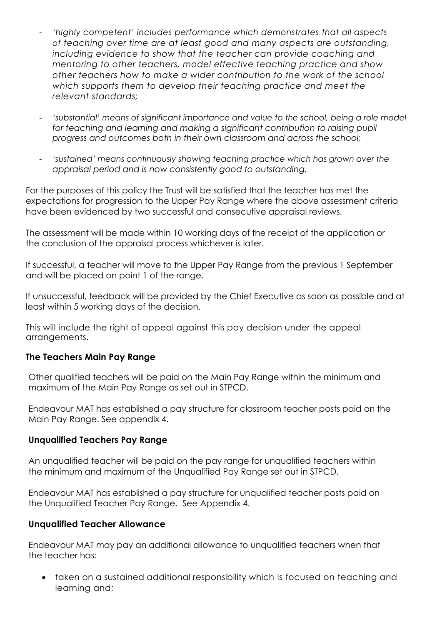- *'highly competent' includes performance which demonstrates that all aspects of teaching over time are at least good and many aspects are outstanding, including evidence to show that the teacher can provide coaching and mentoring to other teachers, model effective teaching practice and show other teachers how to make a wider contribution to the work of the school which supports them to develop their teaching practice and meet the relevant standards;*
- *'substantial' means of significant importance and value to the school, being a role model for teaching and learning and making a significant contribution to raising pupil progress and outcomes both in their own classroom and across the school;*
- *'sustained' means continuously showing teaching practice which has grown over the appraisal period and is now consistently good to outstanding.*

For the purposes of this policy the Trust will be satisfied that the teacher has met the expectations for progression to the Upper Pay Range where the above assessment criteria have been evidenced by two successful and consecutive appraisal reviews.

The assessment will be made within 10 working days of the receipt of the application or the conclusion of the appraisal process whichever is later.

If successful, a teacher will move to the Upper Pay Range from the previous 1 September and will be placed on point 1 of the range.

If unsuccessful, feedback will be provided by the Chief Executive as soon as possible and at least within 5 working days of the decision.

This will include the right of appeal against this pay decision under the appeal arrangements.

#### **The Teachers Main Pay Range**

Other qualified teachers will be paid on the Main Pay Range within the minimum and maximum of the Main Pay Range as set out in STPCD.

Endeavour MAT has established a pay structure for classroom teacher posts paid on the Main Pay Range. See appendix 4.

#### **Unqualified Teachers Pay Range**

An unqualified teacher will be paid on the pay range for unqualified teachers within the minimum and maximum of the Unqualified Pay Range set out in STPCD.

Endeavour MAT has established a pay structure for unqualified teacher posts paid on the Unqualified Teacher Pay Range. See Appendix 4.

#### **Unqualified Teacher Allowance**

Endeavour MAT may pay an additional allowance to unqualified teachers when that the teacher has:

• taken on a sustained additional responsibility which is focused on teaching and learning and;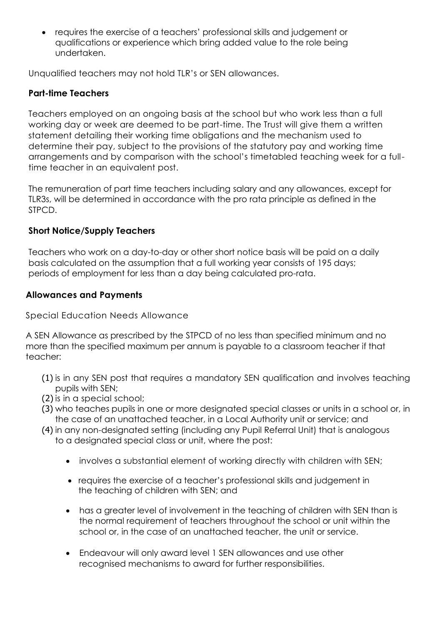• requires the exercise of a teachers' professional skills and judgement or qualifications or experience which bring added value to the role being undertaken.

Unqualified teachers may not hold TLR's or SEN allowances.

# **Part-time Teachers**

Teachers employed on an ongoing basis at the school but who work less than a full working day or week are deemed to be part-time. The Trust will give them a written statement detailing their working time obligations and the mechanism used to determine their pay, subject to the provisions of the statutory pay and working time arrangements and by comparison with the school's timetabled teaching week for a fulltime teacher in an equivalent post.

The remuneration of part time teachers including salary and any allowances, except for TLR3s, will be determined in accordance with the pro rata principle as defined in the STPCD.

# **Short Notice/Supply Teachers**

Teachers who work on a day-to-day or other short notice basis will be paid on a daily basis calculated on the assumption that a full working year consists of 195 days; periods of employment for less than a day being calculated pro-rata.

#### **Allowances and Payments**

Special Education Needs Allowance

A SEN Allowance as prescribed by the STPCD of no less than specified minimum and no more than the specified maximum per annum is payable to a classroom teacher if that teacher:

- (1) is in any SEN post that requires a mandatory SEN qualification and involves teaching pupils with SEN;
- (2) is in a special school;
- (3) who teaches pupils in one or more designated special classes or units in a school or, in the case of an unattached teacher, in a Local Authority unit or service; and
- (4) in any non-designated setting (including any Pupil Referral Unit) that is analogous to a designated special class or unit, where the post:
	- involves a substantial element of working directly with children with SEN;
	- requires the exercise of a teacher's professional skills and judgement in the teaching of children with SEN; and
	- has a greater level of involvement in the teaching of children with SEN than is the normal requirement of teachers throughout the school or unit within the school or, in the case of an unattached teacher, the unit or service.
	- Endeavour will only award level 1 SEN allowances and use other recognised mechanisms to award for further responsibilities.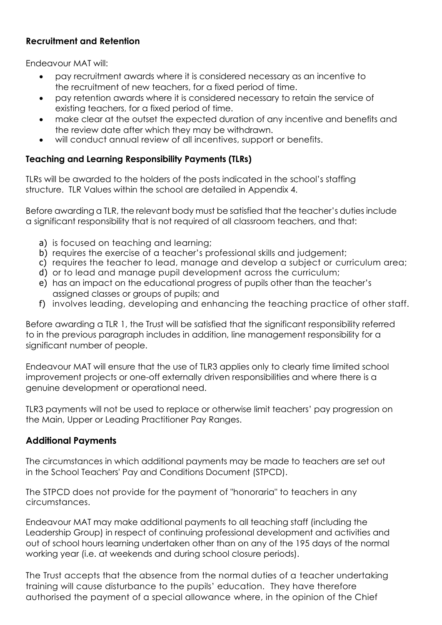# **Recruitment and Retention**

Endeavour MAT will:

- pay recruitment awards where it is considered necessary as an incentive to the recruitment of new teachers, for a fixed period of time.
- pay retention awards where it is considered necessary to retain the service of existing teachers, for a fixed period of time.
- make clear at the outset the expected duration of any incentive and benefits and the review date after which they may be withdrawn.
- will conduct annual review of all incentives, support or benefits.

# **Teaching and Learning Responsibility Payments (TLRs)**

TLRs will be awarded to the holders of the posts indicated in the school's staffing structure. TLR Values within the school are detailed in Appendix 4.

Before awarding a TLR, the relevant body must be satisfied that the teacher's duties include a significant responsibility that is not required of all classroom teachers, and that:

- a) is focused on teaching and learning;
- b) requires the exercise of a teacher's professional skills and judgement;
- c) requires the teacher to lead, manage and develop a subject or curriculum area;
- d) or to lead and manage pupil development across the curriculum;
- e) has an impact on the educational progress of pupils other than the teacher's assigned classes or groups of pupils; and
- f) involves leading, developing and enhancing the teaching practice of other staff.

Before awarding a TLR 1, the Trust will be satisfied that the significant responsibility referred to in the previous paragraph includes in addition, line management responsibility for a significant number of people.

Endeavour MAT will ensure that the use of TLR3 applies only to clearly time limited school improvement projects or one-off externally driven responsibilities and where there is a genuine development or operational need.

TLR3 payments will not be used to replace or otherwise limit teachers' pay progression on the Main, Upper or Leading Practitioner Pay Ranges.

# **Additional Payments**

The circumstances in which additional payments may be made to teachers are set out in the School Teachers' Pay and Conditions Document (STPCD).

The STPCD does not provide for the payment of "honoraria" to teachers in any circumstances.

Endeavour MAT may make additional payments to all teaching staff (including the Leadership Group) in respect of continuing professional development and activities and out of school hours learning undertaken other than on any of the 195 days of the normal working year (i.e. at weekends and during school closure periods).

The Trust accepts that the absence from the normal duties of a teacher undertaking training will cause disturbance to the pupils' education. They have therefore authorised the payment of a special allowance where, in the opinion of the Chief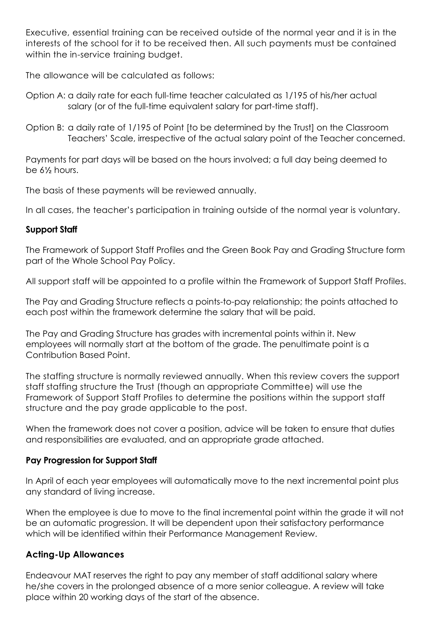Executive, essential training can be received outside of the normal year and it is in the interests of the school for it to be received then. All such payments must be contained within the in-service training budget.

The allowance will be calculated as follows:

- Option A: a daily rate for each full-time teacher calculated as 1/195 of his/her actual salary (or of the full-time equivalent salary for part-time staff).
- Option B: a daily rate of 1/195 of Point [to be determined by the Trust] on the Classroom Teachers' Scale, irrespective of the actual salary point of the Teacher concerned.

Payments for part days will be based on the hours involved; a full day being deemed to be 6½ hours.

The basis of these payments will be reviewed annually.

In all cases, the teacher's participation in training outside of the normal year is voluntary.

#### **Support Staff**

The Framework of Support Staff Profiles and the Green Book Pay and Grading Structure form part of the Whole School Pay Policy.

All support staff will be appointed to a profile within the Framework of Support Staff Profiles.

The Pay and Grading Structure reflects a points-to-pay relationship; the points attached to each post within the framework determine the salary that will be paid.

The Pay and Grading Structure has grades with incremental points within it. New employees will normally start at the bottom of the grade. The penultimate point is a Contribution Based Point.

The staffing structure is normally reviewed annually. When this review covers the support staff staffing structure the Trust (though an appropriate Committee) will use the Framework of Support Staff Profiles to determine the positions within the support staff structure and the pay grade applicable to the post.

When the framework does not cover a position, advice will be taken to ensure that duties and responsibilities are evaluated, and an appropriate grade attached.

#### **Pay Progression for Support Staff**

In April of each year employees will automatically move to the next incremental point plus any standard of living increase.

When the employee is due to move to the final incremental point within the grade it will not be an automatic progression. It will be dependent upon their satisfactory performance which will be identified within their Performance Management Review.

#### **Acting-Up Allowances**

Endeavour MAT reserves the right to pay any member of staff additional salary where he/she covers in the prolonged absence of a more senior colleague. A review will take place within 20 working days of the start of the absence.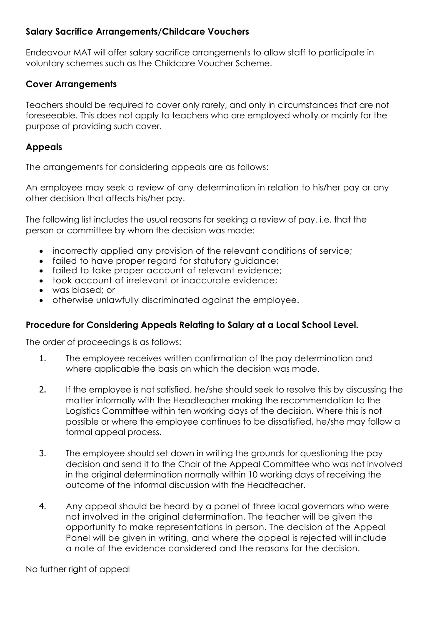#### **Salary Sacrifice Arrangements/Childcare Vouchers**

Endeavour MAT will offer salary sacrifice arrangements to allow staff to participate in voluntary schemes such as the Childcare Voucher Scheme.

# **Cover Arrangements**

Teachers should be required to cover only rarely, and only in circumstances that are not foreseeable. This does not apply to teachers who are employed wholly or mainly for the purpose of providing such cover.

# **Appeals**

The arrangements for considering appeals are as follows:

An employee may seek a review of any determination in relation to his/her pay or any other decision that affects his/her pay.

The following list includes the usual reasons for seeking a review of pay. i.e. that the person or committee by whom the decision was made:

- incorrectly applied any provision of the relevant conditions of service;
- failed to have proper regard for statutory guidance;
- failed to take proper account of relevant evidence;
- took account of irrelevant or inaccurate evidence;
- was biased; or
- otherwise unlawfully discriminated against the employee.

# **Procedure for Considering Appeals Relating to Salary at a Local School Level.**

The order of proceedings is as follows:

- 1. The employee receives written confirmation of the pay determination and where applicable the basis on which the decision was made.
- 2. If the employee is not satisfied, he/she should seek to resolve this by discussing the matter informally with the Headteacher making the recommendation to the Logistics Committee within ten working days of the decision. Where this is not possible or where the employee continues to be dissatisfied, he/she may follow a formal appeal process.
- 3. The employee should set down in writing the grounds for questioning the pay decision and send it to the Chair of the Appeal Committee who was not involved in the original determination normally within 10 working days of receiving the outcome of the informal discussion with the Headteacher.
- 4. Any appeal should be heard by a panel of three local governors who were not involved in the original determination. The teacher will be given the opportunity to make representations in person. The decision of the Appeal Panel will be given in writing, and where the appeal is rejected will include a note of the evidence considered and the reasons for the decision.

No further right of appeal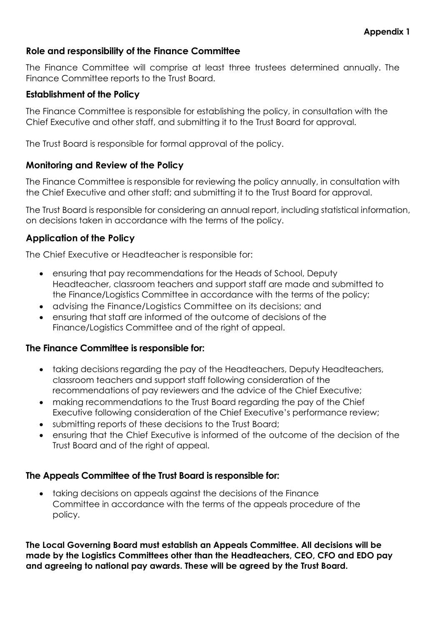# **Role and responsibility of the Finance Committee**

The Finance Committee will comprise at least three trustees determined annually. The Finance Committee reports to the Trust Board.

## **Establishment of the Policy**

The Finance Committee is responsible for establishing the policy, in consultation with the Chief Executive and other staff, and submitting it to the Trust Board for approval.

The Trust Board is responsible for formal approval of the policy.

# **Monitoring and Review of the Policy**

The Finance Committee is responsible for reviewing the policy annually, in consultation with the Chief Executive and other staff; and submitting it to the Trust Board for approval.

The Trust Board is responsible for considering an annual report, including statistical information, on decisions taken in accordance with the terms of the policy.

# **Application of the Policy**

The Chief Executive or Headteacher is responsible for:

- ensuring that pay recommendations for the Heads of School, Deputy Headteacher, classroom teachers and support staff are made and submitted to the Finance/Logistics Committee in accordance with the terms of the policy;
- advising the Finance/Logistics Committee on its decisions; and
- ensuring that staff are informed of the outcome of decisions of the Finance/Logistics Committee and of the right of appeal.

#### **The Finance Committee is responsible for:**

- taking decisions regarding the pay of the Headteachers, Deputy Headteachers, classroom teachers and support staff following consideration of the recommendations of pay reviewers and the advice of the Chief Executive;
- making recommendations to the Trust Board regarding the pay of the Chief Executive following consideration of the Chief Executive's performance review;
- submitting reports of these decisions to the Trust Board;
- ensuring that the Chief Executive is informed of the outcome of the decision of the Trust Board and of the right of appeal.

#### **The Appeals Committee of the Trust Board is responsible for:**

• taking decisions on appeals against the decisions of the Finance Committee in accordance with the terms of the appeals procedure of the policy.

**The Local Governing Board must establish an Appeals Committee. All decisions will be made by the Logistics Committees other than the Headteachers, CEO, CFO and EDO pay and agreeing to national pay awards. These will be agreed by the Trust Board.**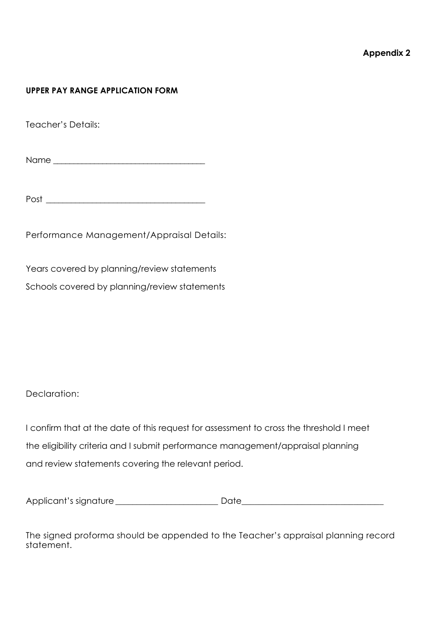#### **Appendix 2**

#### **UPPER PAY RANGE APPLICATION FORM**

Teacher's Details:

Name \_\_\_\_\_\_\_\_\_\_\_\_\_\_\_\_\_\_\_\_\_\_\_\_\_\_\_\_\_\_\_\_\_\_\_\_\_

 $Post$   $\overline{\phantom{a}}$ 

Performance Management/Appraisal Details:

Years covered by planning/review statements Schools covered by planning/review statements

Declaration:

I confirm that at the date of this request for assessment to cross the threshold I meet the eligibility criteria and I submit performance management/appraisal planning and review statements covering the relevant period.

Applicant's signature \_\_\_\_\_\_\_\_\_\_\_\_\_\_\_\_\_\_\_\_\_\_\_\_ Date\_\_\_\_\_\_\_\_\_\_\_\_\_\_\_\_\_\_\_\_\_\_\_\_\_\_\_\_\_\_\_\_\_

The signed proforma should be appended to the Teacher's appraisal planning record statement.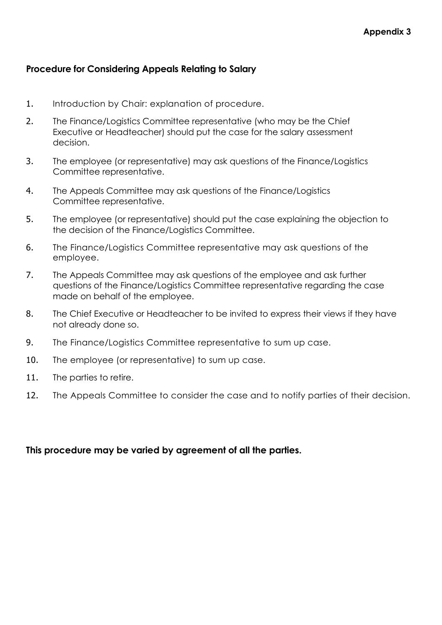#### **Procedure for Considering Appeals Relating to Salary**

- 1. Introduction by Chair: explanation of procedure.
- 2. The Finance/Logistics Committee representative (who may be the Chief Executive or Headteacher) should put the case for the salary assessment decision.
- 3. The employee (or representative) may ask questions of the Finance/Logistics Committee representative.
- 4. The Appeals Committee may ask questions of the Finance/Logistics Committee representative.
- 5. The employee (or representative) should put the case explaining the objection to the decision of the Finance/Logistics Committee.
- 6. The Finance/Logistics Committee representative may ask questions of the employee.
- 7. The Appeals Committee may ask questions of the employee and ask further questions of the Finance/Logistics Committee representative regarding the case made on behalf of the employee.
- 8. The Chief Executive or Headteacher to be invited to express their views if they have not already done so.
- 9. The Finance/Logistics Committee representative to sum up case.
- 10. The employee (or representative) to sum up case.
- 11. The parties to retire.
- 12. The Appeals Committee to consider the case and to notify parties of their decision.

#### **This procedure may be varied by agreement of all the parties.**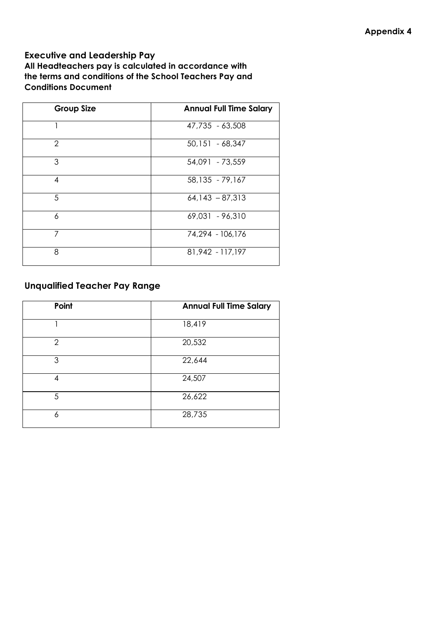**Executive and Leadership Pay All Headteachers pay is calculated in accordance with the terms and conditions of the School Teachers Pay and Conditions Document**

| <b>Group Size</b> | <b>Annual Full Time Salary</b> |
|-------------------|--------------------------------|
|                   | 47,735 - 63,508                |
| $\overline{2}$    | 50,151 - 68,347                |
| 3                 | 54,091 - 73,559                |
| 4                 | 58,135 - 79,167                |
| 5                 | $64,143 - 87,313$              |
| 6                 | 69,031 - 96,310                |
| 7                 | 74,294 - 106,176               |
| 8                 | 81,942 - 117,197               |

# **Unqualified Teacher Pay Range**

| Point          | <b>Annual Full Time Salary</b> |
|----------------|--------------------------------|
|                | 18,419                         |
| $\overline{2}$ | 20,532                         |
| 3              | 22,644                         |
| 4              | 24,507                         |
| 5              | 26,622                         |
| 6              | 28,735                         |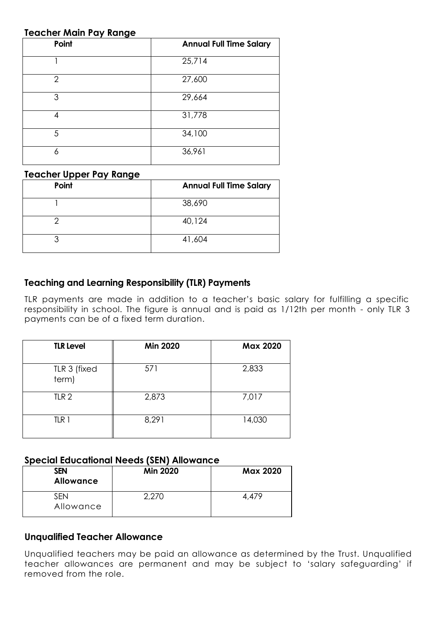#### **Teacher Main Pay Range**

| Point         | <b>Annual Full Time Salary</b> |
|---------------|--------------------------------|
|               | 25,714                         |
| $\mathcal{P}$ | 27,600                         |
| 3             | 29,664                         |
|               | 31,778                         |
| 5             | 34,100                         |
| 6             | 36,961                         |

#### **Teacher Upper Pay Range**

| Point | <b>Annual Full Time Salary</b> |  |
|-------|--------------------------------|--|
|       | 38,690                         |  |
|       | 40,124                         |  |
|       | 41,604                         |  |

# **Teaching and Learning Responsibility (TLR) Payments**

TLR payments are made in addition to a teacher's basic salary for fulfilling a specific responsibility in school. The figure is annual and is paid as 1/12th per month - only TLR 3 payments can be of a fixed term duration.

| <b>TLR Level</b>      | <b>Min 2020</b> | Max 2020 |
|-----------------------|-----------------|----------|
| TLR 3 (fixed<br>term) | 571             | 2,833    |
| TLR <sub>2</sub>      | 2,873           | 7,017    |
| $TLR$ 1               | 8,291           | 14,030   |

#### **Special Educational Needs (SEN) Allowance**

| <b>SEN</b><br><b>Allowance</b> | <b>Min 2020</b> | <b>Max 2020</b> |
|--------------------------------|-----------------|-----------------|
| SFN<br>Allowance               | 2,270           | 4.479           |

#### **Unqualified Teacher Allowance**

Unqualified teachers may be paid an allowance as determined by the Trust. Unqualified teacher allowances are permanent and may be subject to 'salary safeguarding' if removed from the role.